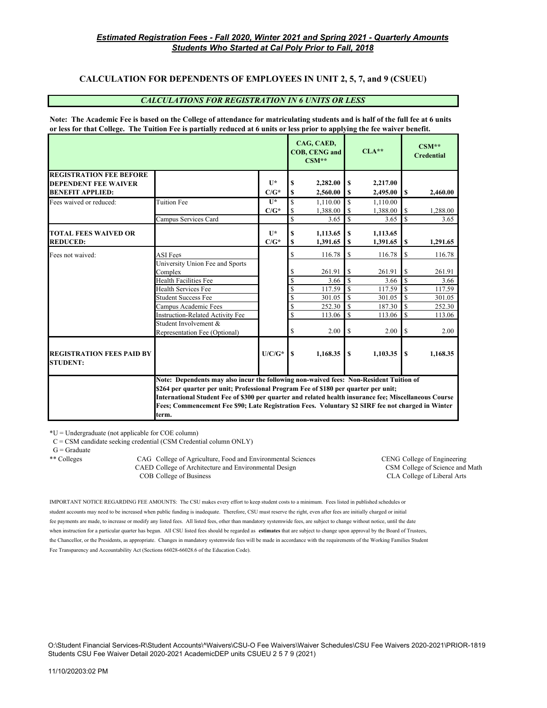## **CALCULATION FOR DEPENDENTS OF EMPLOYEES IN UNIT 2, 5, 7, and 9 (CSUEU)**

#### *CALCULATIONS FOR REGISTRATION IN 6 UNITS OR LESS*

**Note: The Academic Fee is based on the College of attendance for matriculating students and is half of the full fee at 6 units or less for that College. The Tuition Fee is partially reduced at 6 units or less prior to applying the fee waiver benefit.**

|                                                               |                                                                                                                                                                               |              |                         | CAG, CAED,<br><b>COB, CENG and</b><br>$CSM**$ |               | $CLA**$  |                         | $CSM**$<br><b>Credential</b> |  |
|---------------------------------------------------------------|-------------------------------------------------------------------------------------------------------------------------------------------------------------------------------|--------------|-------------------------|-----------------------------------------------|---------------|----------|-------------------------|------------------------------|--|
| <b>REGISTRATION FEE BEFORE</b><br><b>DEPENDENT FEE WAIVER</b> |                                                                                                                                                                               | $\mathbf{I}$ | S                       | 2,282.00                                      | S             | 2,217.00 |                         |                              |  |
| <b>BENEFIT APPLIED:</b>                                       |                                                                                                                                                                               | $C/G^*$      | S                       | 2,560.00                                      | S             | 2,495.00 | S                       | 2.460.00                     |  |
| Fees waived or reduced:                                       | <b>Tuition Fee</b>                                                                                                                                                            | $\mathbf{I}$ | \$                      | 1,110.00                                      | <b>S</b>      | 1,110.00 |                         |                              |  |
|                                                               |                                                                                                                                                                               | $C/G^*$      | <sup>\$</sup>           | 1.388.00                                      |               | 1.388.00 | S                       | 1,288.00                     |  |
|                                                               | Campus Services Card                                                                                                                                                          |              | $\overline{\mathbf{s}}$ | 3.65                                          |               | 3.65     | $\mathbf S$             | 3.65                         |  |
| <b>TOTAL FEES WAIVED OR</b>                                   |                                                                                                                                                                               | $\mathbf{I}$ | S                       | 1.113.65                                      | S             | 1.113.65 |                         |                              |  |
| <b>REDUCED:</b>                                               |                                                                                                                                                                               | $C/G^*$      | S                       | 1,391.65                                      | S             | 1,391.65 | \$                      | 1,291.65                     |  |
| Fees not waived:                                              | <b>ASI</b> Fees                                                                                                                                                               |              | \$                      | 116.78                                        | \$            | 116.78   | \$                      | 116.78                       |  |
|                                                               | University Union Fee and Sports                                                                                                                                               |              |                         |                                               |               |          |                         |                              |  |
|                                                               | Complex                                                                                                                                                                       |              | \$                      | 261.91                                        | \$            | 261.91   | \$                      | 261.91                       |  |
|                                                               | <b>Health Facilities Fee</b>                                                                                                                                                  |              | <sup>\$</sup>           | 3.66                                          | $\mathbf S$   | 3.66     | $\overline{\mathbf{s}}$ | 3.66                         |  |
|                                                               | Health Services Fee                                                                                                                                                           |              | \$                      | 117.59                                        | -S            | 117.59   | S                       | 117.59                       |  |
|                                                               | <b>Student Success Fee</b>                                                                                                                                                    |              | <sup>\$</sup>           | 301.05                                        | $\mathbf{\$}$ | 301.05   | $\mathbf S$             | 301.05                       |  |
|                                                               | Campus Academic Fees                                                                                                                                                          |              | \$                      | 252.30                                        | $\mathbf S$   | 187.30   | \$                      | 252.30                       |  |
|                                                               | <b>Instruction-Related Activity Fee</b>                                                                                                                                       |              | <sup>\$</sup>           | 113.06                                        | S             | 113.06   | $\mathbf S$             | 113.06                       |  |
|                                                               | Student Involvement &                                                                                                                                                         |              |                         |                                               |               |          |                         |                              |  |
|                                                               | Representation Fee (Optional)                                                                                                                                                 |              | \$                      | 2.00                                          | \$            | 2.00     | S                       | 2.00                         |  |
| <b>REGISTRATION FEES PAID BY</b><br><b>STUDENT:</b>           |                                                                                                                                                                               | $U/C/G^*$    | <b>S</b>                | 1.168.35                                      | \$            | 1,103.35 | S                       | 1.168.35                     |  |
|                                                               | Note: Dependents may also incur the following non-waived fees: Non-Resident Tuition of<br>\$264 per quarter per unit; Professional Program Fee of \$180 per quarter per unit; |              |                         |                                               |               |          |                         |                              |  |
|                                                               | International Student Fee of \$300 per quarter and related health insurance fee; Miscellaneous Course                                                                         |              |                         |                                               |               |          |                         |                              |  |
|                                                               | Fees; Commencement Fee \$90; Late Registration Fees. Voluntary \$2 SIRF fee not charged in Winter                                                                             |              |                         |                                               |               |          |                         |                              |  |
|                                                               | term.                                                                                                                                                                         |              |                         |                                               |               |          |                         |                              |  |

\*U = Undergraduate (not applicable for COE column)

C = CSM candidate seeking credential (CSM Credential column ONLY)

 $G =$  Graduate

\*\* Colleges CAG College of Agriculture, Food and Environmental Sciences CENG College of Engineering CAED College of Architecture and Environmental Design CSM College of Science and Math COB College of Business CLA College of Liberal Arts

IMPORTANT NOTICE REGARDING FEE AMOUNTS: The CSU makes every effort to keep student costs to a minimum. Fees listed in published schedules or student accounts may need to be increased when public funding is inadequate. Therefore, CSU must reserve the right, even after fees are initially charged or initial fee payments are made, to increase or modify any listed fees. All listed fees, other than mandatory systemwide fees, are subject to change without notice, until the date when instruction for a particular quarter has begun. All CSU listed fees should be regarded as **estimates** that are subject to change upon approval by the Board of Trustees, the Chancellor, or the Presidents, as appropriate. Changes in mandatory systemwide fees will be made in accordance with the requirements of the Working Families Student Fee Transparency and Accountability Act (Sections 66028-66028.6 of the Education Code).

O:\Student Financial Services-R\Student Accounts\^Waivers\CSU-O Fee Waivers\Waiver Schedules\CSU Fee Waivers 2020-2021\PRIOR-1819 Students CSU Fee Waiver Detail 2020-2021 AcademicDEP units CSUEU 2 5 7 9 (2021)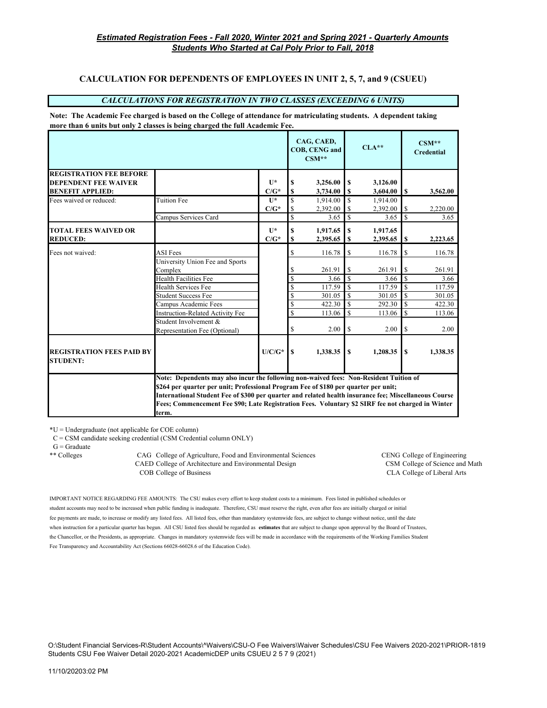# **CALCULATION FOR DEPENDENTS OF EMPLOYEES IN UNIT 2, 5, 7, and 9 (CSUEU)**

## *CALCULATIONS FOR REGISTRATION IN TWO CLASSES (EXCEEDING 6 UNITS)*

#### **Note: The Academic Fee charged is based on the College of attendance for matriculating students. A dependent taking more than 6 units but only 2 classes is being charged the full Academic Fee.**

|                                                     |                                                                                                                                                                               |                         |                   | CAG, CAED,<br><b>COB, CENG and</b><br>$CSM**$ |                    | $CLA**$  |              | $CSM**$<br><b>Credential</b> |
|-----------------------------------------------------|-------------------------------------------------------------------------------------------------------------------------------------------------------------------------------|-------------------------|-------------------|-----------------------------------------------|--------------------|----------|--------------|------------------------------|
| <b>REGISTRATION FEE BEFORE</b>                      |                                                                                                                                                                               |                         |                   |                                               |                    |          |              |                              |
| <b>DEPENDENT FEE WAIVER</b>                         |                                                                                                                                                                               | $\mathbf{I}$            | S                 | 3,256.00                                      | S                  | 3,126.00 |              |                              |
| <b>BENEFIT APPLIED:</b>                             |                                                                                                                                                                               | $C/G^*$<br>$\mathbf{I}$ | S                 | 3,734.00                                      | S                  | 3,604.00 | S            | 3,562.00                     |
| Fees waived or reduced:                             | <b>Tuition Fee</b>                                                                                                                                                            |                         | <sup>\$</sup>     | 1.914.00                                      | <sup>\$</sup>      | 1,914.00 |              |                              |
|                                                     |                                                                                                                                                                               | $C/G^*$                 | \$<br>$\mathbf S$ | 2,392.00                                      | S<br><sup>\$</sup> | 2,392.00 | \$<br>S      | 2,220.00                     |
|                                                     | Campus Services Card                                                                                                                                                          |                         |                   | 3.65                                          |                    | 3.65     |              | 3.65                         |
| <b>TOTAL FEES WAIVED OR</b>                         |                                                                                                                                                                               | $\mathbf{I}$            | \$                | 1,917.65                                      | $\mathbf S$        | 1,917.65 |              |                              |
| <b>REDUCED:</b>                                     |                                                                                                                                                                               | $C/G^*$                 | \$                | 2,395.65                                      | -S                 | 2,395.65 | S            | 2,223.65                     |
| Fees not waived:                                    | <b>ASI</b> Fees                                                                                                                                                               |                         | \$                | 116.78                                        | \$                 | 116.78   | \$           | 116.78                       |
|                                                     | University Union Fee and Sports                                                                                                                                               |                         |                   |                                               |                    |          |              |                              |
|                                                     | Complex                                                                                                                                                                       |                         | \$                | 261.91                                        | \$                 | 261.91   | \$           | 261.91                       |
|                                                     | <b>Health Facilities Fee</b>                                                                                                                                                  |                         | \$                | 3.66                                          | S                  | 3.66     | \$           | 3.66                         |
|                                                     | <b>Health Services Fee</b>                                                                                                                                                    |                         | \$                | 117.59                                        | <sup>\$</sup>      | 117.59   | S            | 117.59                       |
|                                                     | <b>Student Success Fee</b>                                                                                                                                                    |                         | \$                | 301.05                                        | \$                 | 301.05   | S            | 301.05                       |
|                                                     | Campus Academic Fees                                                                                                                                                          |                         | \$                | 422.30                                        | S                  | 292.30   | S            | 422.30                       |
|                                                     | <b>Instruction-Related Activity Fee</b>                                                                                                                                       |                         | \$                | 113.06                                        | \$                 | 113.06   | S            | 113.06                       |
|                                                     | Student Involvement &                                                                                                                                                         |                         |                   |                                               |                    |          |              |                              |
|                                                     | Representation Fee (Optional)                                                                                                                                                 |                         | \$                | 2.00                                          | \$                 | 2.00     | \$           | 2.00                         |
|                                                     |                                                                                                                                                                               |                         |                   |                                               |                    |          |              |                              |
| <b>REGISTRATION FEES PAID BY</b><br><b>STUDENT:</b> |                                                                                                                                                                               | $U/C/G^*$               | S                 | 1,338.35                                      | $\mathbf S$        | 1,208.35 | $\mathbf{s}$ | 1,338.35                     |
|                                                     | Note: Dependents may also incur the following non-waived fees: Non-Resident Tuition of<br>\$264 per quarter per unit; Professional Program Fee of \$180 per quarter per unit; |                         |                   |                                               |                    |          |              |                              |
|                                                     |                                                                                                                                                                               |                         |                   |                                               |                    |          |              |                              |
|                                                     | International Student Fee of \$300 per quarter and related health insurance fee; Miscellaneous Course                                                                         |                         |                   |                                               |                    |          |              |                              |
|                                                     | Fees; Commencement Fee \$90; Late Registration Fees. Voluntary \$2 SIRF fee not charged in Winter<br>term.                                                                    |                         |                   |                                               |                    |          |              |                              |
|                                                     |                                                                                                                                                                               |                         |                   |                                               |                    |          |              |                              |

 $*U =$  Undergraduate (not applicable for COE column)

C = CSM candidate seeking credential (CSM Credential column ONLY)

 $G =$  Graduate

\*\* Colleges CAG College of Agriculture, Food and Environmental Sciences CENG College of Engineering CAED College of Architecture and Environmental Design CSM College of Science and Math COB College of Business CLA College of Liberal Arts

IMPORTANT NOTICE REGARDING FEE AMOUNTS: The CSU makes every effort to keep student costs to a minimum. Fees listed in published schedules or student accounts may need to be increased when public funding is inadequate. Therefore, CSU must reserve the right, even after fees are initially charged or initial fee payments are made, to increase or modify any listed fees. All listed fees, other than mandatory systemwide fees, are subject to change without notice, until the date when instruction for a particular quarter has begun. All CSU listed fees should be regarded as **estimates** that are subject to change upon approval by the Board of Trustees, the Chancellor, or the Presidents, as appropriate. Changes in mandatory systemwide fees will be made in accordance with the requirements of the Working Families Student Fee Transparency and Accountability Act (Sections 66028-66028.6 of the Education Code).

O:\Student Financial Services-R\Student Accounts\^Waivers\CSU-O Fee Waivers\Waiver Schedules\CSU Fee Waivers 2020-2021\PRIOR-1819 Students CSU Fee Waiver Detail 2020-2021 AcademicDEP units CSUEU 2 5 7 9 (2021)